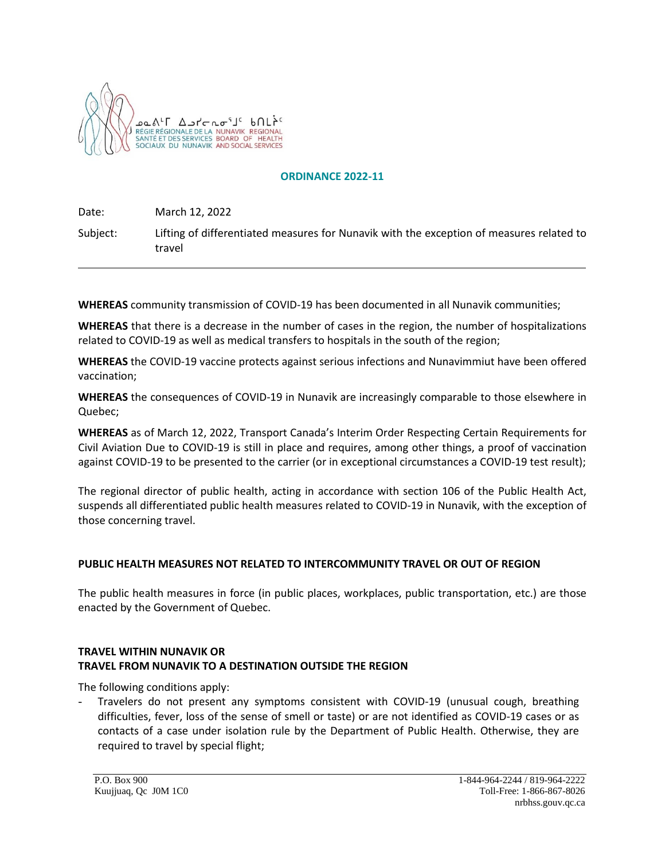

### **ORDINANCE 2022-11**

Date: March 12, 2022

Subject: Lifting of differentiated measures for Nunavik with the exception of measures related to travel

**WHEREAS** community transmission of COVID-19 has been documented in all Nunavik communities;

**WHEREAS** that there is a decrease in the number of cases in the region, the number of hospitalizations related to COVID-19 as well as medical transfers to hospitals in the south of the region;

**WHEREAS** the COVID-19 vaccine protects against serious infections and Nunavimmiut have been offered vaccination;

**WHEREAS** the consequences of COVID-19 in Nunavik are increasingly comparable to those elsewhere in Quebec;

**WHEREAS** as of March 12, 2022, Transport Canada's Interim Order Respecting Certain Requirements for Civil Aviation Due to COVID-19 is still in place and requires, among other things, a proof of vaccination against COVID-19 to be presented to the carrier (or in exceptional circumstances a COVID-19 test result);

The regional director of public health, acting in accordance with section 106 of the Public Health Act, suspends all differentiated public health measures related to COVID-19 in Nunavik, with the exception of those concerning travel.

### **PUBLIC HEALTH MEASURES NOT RELATED TO INTERCOMMUNITY TRAVEL OR OUT OF REGION**

The public health measures in force (in public places, workplaces, public transportation, etc.) are those enacted by the Government of Quebec.

## **TRAVEL WITHIN NUNAVIK OR TRAVEL FROM NUNAVIK TO A DESTINATION OUTSIDE THE REGION**

The following conditions apply:

- Travelers do not present any symptoms consistent with COVID-19 (unusual cough, breathing difficulties, fever, loss of the sense of smell or taste) or are not identified as COVID-19 cases or as contacts of a case under isolation rule by the Department of Public Health. Otherwise, they are required to travel by special flight;